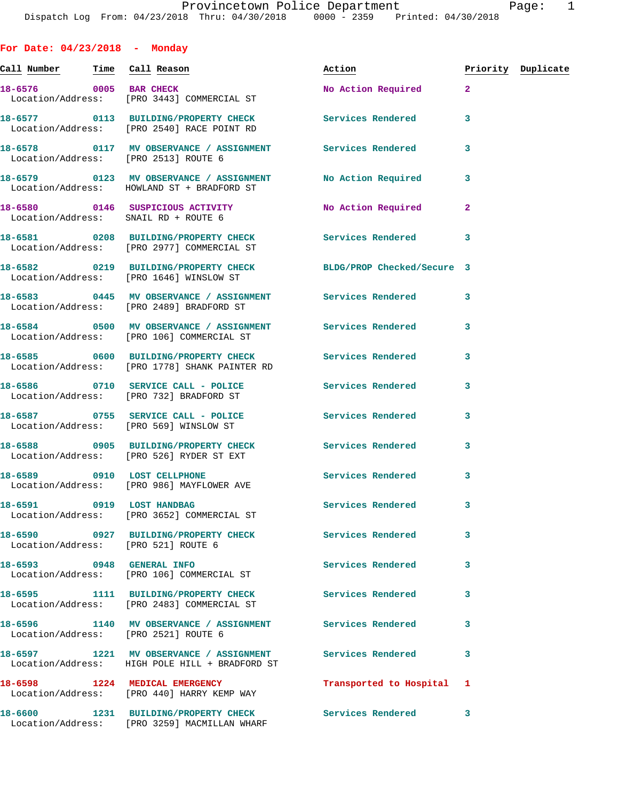**For Date: 04/23/2018 - Monday Call Number Time Call Reason Action Priority Duplicate 18-6576 0005 BAR CHECK No Action Required 2**  Location/Address: [PRO 3443] COMMERCIAL ST **18-6577 0113 BUILDING/PROPERTY CHECK Services Rendered 3**  Location/Address: [PRO 2540] RACE POINT RD **18-6578 0117 MV OBSERVANCE / ASSIGNMENT Services Rendered 3**  Location/Address: [PRO 2513] ROUTE 6 **18-6579 0123 MV OBSERVANCE / ASSIGNMENT No Action Required 3**  Location/Address: HOWLAND ST + BRADFORD ST **18-6580 0146 SUSPICIOUS ACTIVITY No Action Required 2**  Location/Address: SNAIL RD + ROUTE 6 **18-6581 0208 BUILDING/PROPERTY CHECK Services Rendered 3**  Location/Address: [PRO 2977] COMMERCIAL ST **18-6582 0219 BUILDING/PROPERTY CHECK BLDG/PROP Checked/Secure 3**  Location/Address: [PRO 1646] WINSLOW ST 18-6583 **0445 MV OBSERVANCE / ASSIGNMENT** Services Rendered 3 Location/Address: [PRO 2489] BRADFORD ST **18-6584 0500 MV OBSERVANCE / ASSIGNMENT Services Rendered 3**  Location/Address: [PRO 106] COMMERCIAL ST **18-6585 0600 BUILDING/PROPERTY CHECK Services Rendered 3**  Location/Address: [PRO 1778] SHANK PAINTER RD **18-6586 0710 SERVICE CALL - POLICE Services Rendered 3**  Location/Address: [PRO 732] BRADFORD ST **18-6587 0755 SERVICE CALL - POLICE Services Rendered 3**  Location/Address: [PRO 569] WINSLOW ST **18-6588 0905 BUILDING/PROPERTY CHECK Services Rendered 3**  Location/Address: [PRO 526] RYDER ST EXT 18-6589 0910 LOST CELLPHONE **18-6589** Services Rendered 3 Location/Address: [PRO 986] MAYFLOWER AVE **18-6591 0919 LOST HANDBAG Services Rendered 3**  Location/Address: [PRO 3652] COMMERCIAL ST **18-6590 0927 BUILDING/PROPERTY CHECK Services Rendered 3**  Location/Address: [PRO 521] ROUTE 6 **18-6593 0948 GENERAL INFO Services Rendered 3**  Location/Address: [PRO 106] COMMERCIAL ST **18-6595 1111 BUILDING/PROPERTY CHECK Services Rendered 3**  Location/Address: [PRO 2483] COMMERCIAL ST **18-6596 1140 MV OBSERVANCE / ASSIGNMENT Services Rendered 3**  Location/Address: [PRO 2521] ROUTE 6 **18-6597 1221 MV OBSERVANCE / ASSIGNMENT Services Rendered 3**  Location/Address: HIGH POLE HILL + BRADFORD ST **18-6598 1224 MEDICAL EMERGENCY Transported to Hospital 1**  Location/Address: [PRO 440] HARRY KEMP WAY

**18-6600 1231 BUILDING/PROPERTY CHECK Services Rendered 3**  Location/Address: [PRO 3259] MACMILLAN WHARF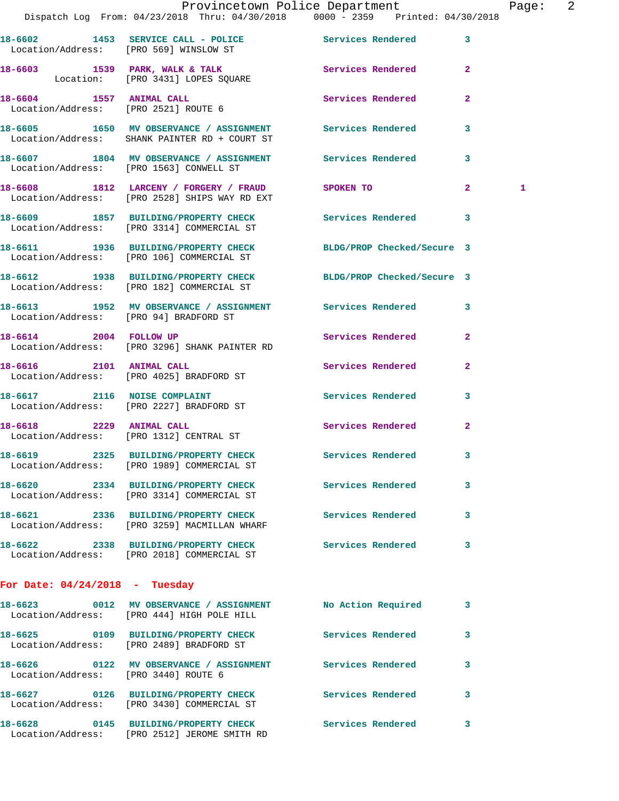|                                        |                                                                                                              | Provincetown Police Department Page: 2 |   |
|----------------------------------------|--------------------------------------------------------------------------------------------------------------|----------------------------------------|---|
|                                        | Dispatch Log From: 04/23/2018 Thru: 04/30/2018 0000 - 2359 Printed: 04/30/2018                               |                                        |   |
|                                        | 18-6602 1453 SERVICE CALL - POLICE Services Rendered 3<br>Location/Address: [PRO 569] WINSLOW ST             |                                        |   |
|                                        | 18-6603 1539 PARK, WALK & TALK 1999 Services Rendered<br>Location: [PRO 3431] LOPES SQUARE                   | $\mathbf{2}$                           |   |
| Location/Address: [PRO 2521] ROUTE 6   | 18-6604 1557 ANIMAL CALL                                                                                     | Services Rendered<br>$\mathbf{2}$      |   |
|                                        | 18-6605 1650 MV OBSERVANCE / ASSIGNMENT Services Rendered<br>Location/Address: SHANK PAINTER RD + COURT ST   | $\mathbf{3}$                           |   |
|                                        | 18-6607 1804 MV OBSERVANCE / ASSIGNMENT Services Rendered 3<br>Location/Address: [PRO 1563] CONWELL ST       |                                        |   |
|                                        | 18-6608 1812 LARCENY / FORGERY / FRAUD SPOKEN TO<br>Location/Address: [PRO 2528] SHIPS WAY RD EXT            | $\mathbf{2}$                           | 1 |
|                                        | 18-6609 1857 BUILDING/PROPERTY CHECK Services Rendered 3<br>Location/Address: [PRO 3314] COMMERCIAL ST       |                                        |   |
|                                        | 18-6611 1936 BUILDING/PROPERTY CHECK BLDG/PROP Checked/Secure 3<br>Location/Address: [PRO 106] COMMERCIAL ST |                                        |   |
|                                        | 18-6612 1938 BUILDING/PROPERTY CHECK BLDG/PROP Checked/Secure 3<br>Location/Address: [PRO 182] COMMERCIAL ST |                                        |   |
| Location/Address: [PRO 94] BRADFORD ST | 18-6613 1952 MV OBSERVANCE / ASSIGNMENT Services Rendered 3                                                  |                                        |   |
| 18-6614 2004 FOLLOW UP                 | Location/Address: [PRO 3296] SHANK PAINTER RD                                                                | Services Rendered 2                    |   |
|                                        | 18-6616 2101 ANIMAL CALL<br>Location/Address: [PRO 4025] BRADFORD ST                                         | Services Rendered<br>2                 |   |
|                                        | 18-6617 2116 NOISE COMPLAINT<br>Location/Address: [PRO 2227] BRADFORD ST                                     | Services Rendered 3                    |   |
|                                        | 18-6618 2229 ANIMAL CALL<br>Location/Address: [PRO 1312] CENTRAL ST                                          | Services Rendered 2                    |   |
|                                        | 18-6619 2325 BUILDING/PROPERTY CHECK<br>Location/Address: [PRO 1989] COMMERCIAL ST                           | <b>Services Rendered</b>               |   |
|                                        | 18-6620 2334 BUILDING/PROPERTY CHECK Services Rendered<br>Location/Address: [PRO 3314] COMMERCIAL ST         | 3                                      |   |
|                                        | 18-6621 2336 BUILDING/PROPERTY CHECK Services Rendered<br>Location/Address: [PRO 3259] MACMILLAN WHARF       | $\mathbf{3}$                           |   |
|                                        | 18-6622 2338 BUILDING/PROPERTY CHECK Services Rendered<br>Location/Address: [PRO 2018] COMMERCIAL ST         | 3                                      |   |
| For Date: $04/24/2018$ - Tuesday       |                                                                                                              |                                        |   |
|                                        | 18-6623 0012 MV OBSERVANCE / ASSIGNMENT No Action Required<br>Location/Address: [PRO 444] HIGH POLE HILL     | 3                                      |   |
|                                        | 18-6625 0109 BUILDING/PROPERTY CHECK Services Rendered 3<br>Location/Address: [PRO 2489] BRADFORD ST         |                                        |   |
| Location/Address: [PRO 3440] ROUTE 6   | 18-6626  0122 MV OBSERVANCE / ASSIGNMENT Services Rendered                                                   | 3                                      |   |
|                                        | 18-6627 0126 BUILDING/PROPERTY CHECK<br>Location/Address: [PRO 3430] COMMERCIAL ST                           | Services Rendered<br>3                 |   |
|                                        | 18-6628 0145 BUILDING/PROPERTY CHECK Services Rendered<br>Location/Address: [PRO 2512] JEROME SMITH RD       | 3                                      |   |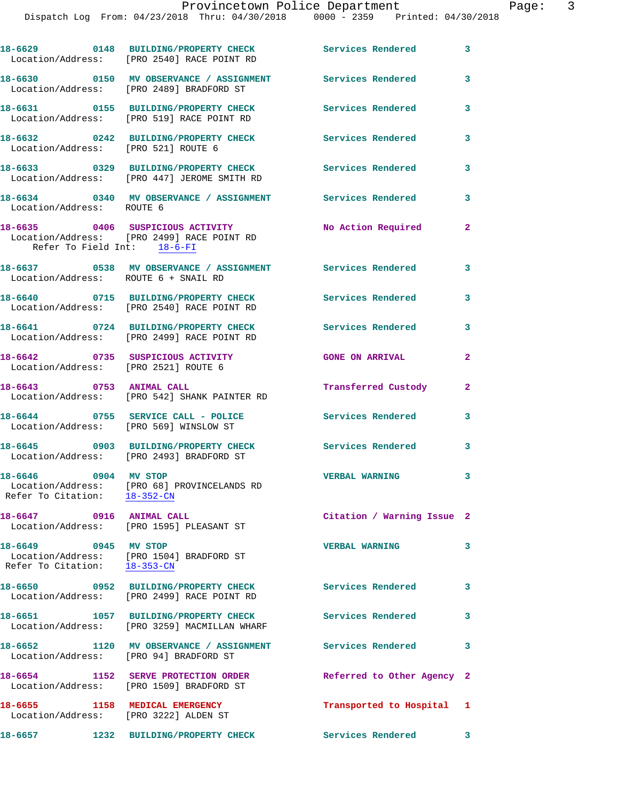Dispatch Log From: 04/23/2018 Thru: 04/30/2018 0000 - 2359 Printed: 04/30/2018

|                                                                         | 18-6629 0148 BUILDING/PROPERTY CHECK<br>Location/Address: [PRO 2540] RACE POINT RD   | Services Rendered 3        |                         |
|-------------------------------------------------------------------------|--------------------------------------------------------------------------------------|----------------------------|-------------------------|
|                                                                         | 18-6630 0150 MV OBSERVANCE / ASSIGNMENT<br>Location/Address: [PRO 2489] BRADFORD ST  | Services Rendered          | 3                       |
|                                                                         | 18-6631 0155 BUILDING/PROPERTY CHECK<br>Location/Address: [PRO 519] RACE POINT RD    | <b>Services Rendered</b>   | 3                       |
| Location/Address: [PRO 521] ROUTE 6                                     | 18-6632 0242 BUILDING/PROPERTY CHECK                                                 | <b>Services Rendered</b>   | 3                       |
|                                                                         | 18-6633 0329 BUILDING/PROPERTY CHECK<br>Location/Address: [PRO 447] JEROME SMITH RD  | <b>Services Rendered</b>   | 3                       |
| Location/Address: ROUTE 6                                               | 18-6634 0340 MV OBSERVANCE / ASSIGNMENT Services Rendered                            |                            | 3                       |
| Refer To Field Int: 18-6-FI                                             | 18-6635 0406 SUSPICIOUS ACTIVITY<br>Location/Address: [PRO 2499] RACE POINT RD       | No Action Required         | $\mathbf{2}$            |
| Location/Address: ROUTE 6 + SNAIL RD                                    | 18-6637 6538 MV OBSERVANCE / ASSIGNMENT Services Rendered 3                          |                            |                         |
|                                                                         | 18-6640 0715 BUILDING/PROPERTY CHECK<br>Location/Address: [PRO 2540] RACE POINT RD   | Services Rendered          | 3                       |
|                                                                         | 18-6641 0724 BUILDING/PROPERTY CHECK<br>Location/Address: [PRO 2499] RACE POINT RD   | <b>Services Rendered</b>   | 3                       |
| Location/Address: [PRO 2521] ROUTE 6                                    | 18-6642 0735 SUSPICIOUS ACTIVITY                                                     | <b>GONE ON ARRIVAL</b>     | $\overline{a}$          |
|                                                                         | 18-6643 0753 ANIMAL CALL<br>Location/Address: [PRO 542] SHANK PAINTER RD             | Transferred Custody        | $\mathbf{2}$            |
| Location/Address: [PRO 569] WINSLOW ST                                  | 18-6644 0755 SERVICE CALL - POLICE                                                   | <b>Services Rendered</b>   | 3                       |
|                                                                         | 18-6645 0903 BUILDING/PROPERTY CHECK<br>Location/Address: [PRO 2493] BRADFORD ST     | Services Rendered          | 3                       |
| 18-6646 0904 MV STOP<br>Refer To Citation: 18-352-CN                    | Location/Address: [PRO 68] PROVINCELANDS RD                                          | <b>VERBAL WARNING</b>      | 3                       |
| 18-6647 0916 ANIMAL CALL                                                | Location/Address: [PRO 1595] PLEASANT ST                                             | Citation / Warning Issue 2 |                         |
| 18-6649 0945 MV STOP<br>Refer To Citation: 18-353-CN                    | Location/Address: [PRO 1504] BRADFORD ST                                             | <b>VERBAL WARNING</b>      | 3                       |
|                                                                         | 18-6650 0952 BUILDING/PROPERTY CHECK<br>Location/Address: [PRO 2499] RACE POINT RD   | <b>Services Rendered</b>   | $\overline{\mathbf{3}}$ |
|                                                                         | 18-6651 1057 BUILDING/PROPERTY CHECK<br>Location/Address: [PRO 3259] MACMILLAN WHARF | Services Rendered 3        |                         |
| Location/Address: [PRO 94] BRADFORD ST                                  | 18-6652 1120 MV OBSERVANCE / ASSIGNMENT                                              | <b>Services Rendered</b>   | 3                       |
| 18-6654                                                                 | 1152 SERVE PROTECTION ORDER<br>Location/Address: [PRO 1509] BRADFORD ST              | Referred to Other Agency 2 |                         |
| 18-6655 1158 MEDICAL EMERGENCY<br>Location/Address: [PRO 3222] ALDEN ST |                                                                                      | Transported to Hospital 1  |                         |
| 18-6657                                                                 | 1232 BUILDING/PROPERTY CHECK                                                         | <b>Services Rendered</b>   | 3                       |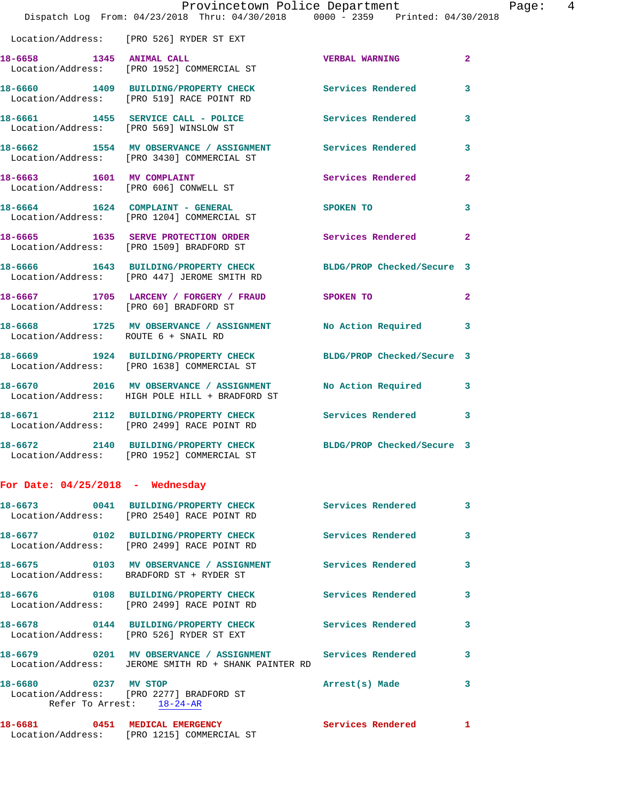|                                        | Provincetown Police Department                                                                                 |                            |                |
|----------------------------------------|----------------------------------------------------------------------------------------------------------------|----------------------------|----------------|
|                                        | Dispatch Log From: 04/23/2018 Thru: 04/30/2018 0000 - 2359 Printed: 04/30/2018                                 |                            |                |
|                                        | Location/Address: [PRO 526] RYDER ST EXT                                                                       |                            |                |
| 18-6658 1345 ANIMAL CALL               | Location/Address: [PRO 1952] COMMERCIAL ST                                                                     | <b>VERBAL WARNING</b>      | $\overline{2}$ |
|                                        | 18-6660 1409 BUILDING/PROPERTY CHECK<br>Location/Address: [PRO 519] RACE POINT RD                              | <b>Services Rendered</b>   | 3              |
| Location/Address: [PRO 569] WINSLOW ST | 18-6661 1455 SERVICE CALL - POLICE                                                                             | Services Rendered          | 3              |
|                                        | 18-6662 1554 MV OBSERVANCE / ASSIGNMENT Services Rendered<br>Location/Address: [PRO 3430] COMMERCIAL ST        |                            | 3              |
| 18-6663 1601 MV COMPLAINT              | Location/Address: [PRO 606] CONWELL ST                                                                         | Services Rendered          | $\mathbf{2}$   |
|                                        | 18-6664 1624 COMPLAINT - GENERAL<br>Location/Address: [PRO 1204] COMMERCIAL ST                                 | <b>SPOKEN TO</b>           | 3              |
|                                        | 18-6665 1635 SERVE PROTECTION ORDER<br>Location/Address: [PRO 1509] BRADFORD ST                                | <b>Services Rendered</b>   | $\mathbf{2}$   |
|                                        | 18-6666 1643 BUILDING/PROPERTY CHECK BLDG/PROP Checked/Secure 3<br>Location/Address: [PRO 447] JEROME SMITH RD |                            |                |
| Location/Address: [PRO 60] BRADFORD ST | 18-6667 1705 LARCENY / FORGERY / FRAUD SPOKEN TO                                                               |                            | $\mathbf{2}$   |
| Location/Address: ROUTE 6 + SNAIL RD   | 18-6668 1725 MV OBSERVANCE / ASSIGNMENT No Action Required                                                     |                            | 3              |
|                                        | 18-6669 1924 BUILDING/PROPERTY CHECK BLDG/PROP Checked/Secure 3<br>Location/Address: [PRO 1638] COMMERCIAL ST  |                            |                |
|                                        | 18-6670 2016 MV OBSERVANCE / ASSIGNMENT<br>Location/Address: HIGH POLE HILL + BRADFORD ST                      | No Action Required         | 3              |
|                                        | 18-6671 2112 BUILDING/PROPERTY CHECK Services Rendered<br>Location/Address: [PRO 2499] RACE POINT RD           |                            | 3              |
|                                        | 18-6672 2140 BUILDING/PROPERTY CHECK<br>Location/Address: [PRO 1952] COMMERCIAL ST                             | BLDG/PROP Checked/Secure 3 |                |
| For Date: $04/25/2018$ - Wednesday     |                                                                                                                |                            |                |
| 18-6673 марти                          | 0041 BUILDING/PROPERTY CHECK<br>Location/Address: [PRO 2540] RACE POINT RD                                     | Services Rendered          | 3              |
|                                        |                                                                                                                |                            |                |

**18-6677 0102 BUILDING/PROPERTY CHECK Services Rendered 3**  Location/Address: [PRO 2499] RACE POINT RD **18-6675 0103 MV OBSERVANCE / ASSIGNMENT Services Rendered 3**  Location/Address: BRADFORD ST + RYDER ST **18-6676 0108 BUILDING/PROPERTY CHECK Services Rendered 3**  Location/Address: [PRO 2499] RACE POINT RD **18-6678 0144 BUILDING/PROPERTY CHECK Services Rendered 3**  Location/Address: [PRO 526] RYDER ST EXT **18-6679 0201 MV OBSERVANCE / ASSIGNMENT Services Rendered 3**  Location/Address: JEROME SMITH RD + SHANK PAINTER RD **18-6680 0237 MV STOP Arrest(s) Made 3**  Location/Address: [PRO 2277] BRADFORD ST Refer To Arrest: 18-24-AR 18-6681 0451 MEDICAL EMERGENCY Services Rendered 1 Location/Address: [PRO 1215] COMMERCIAL ST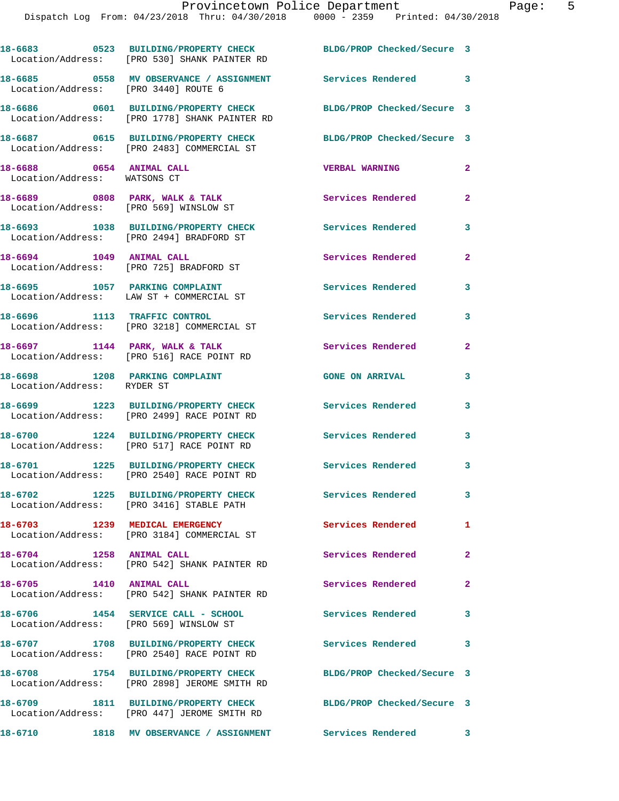|                                                          | 18-6683 0523 BUILDING/PROPERTY CHECK<br>Location/Address: [PRO 530] SHANK PAINTER RD  | BLDG/PROP Checked/Secure 3 |                            |
|----------------------------------------------------------|---------------------------------------------------------------------------------------|----------------------------|----------------------------|
| Location/Address: [PRO 3440] ROUTE 6                     | 18-6685 		 0558 MV OBSERVANCE / ASSIGNMENT Services Rendered 3                        |                            |                            |
|                                                          | 18-6686 0601 BUILDING/PROPERTY CHECK<br>Location/Address: [PRO 1778] SHANK PAINTER RD | BLDG/PROP Checked/Secure 3 |                            |
|                                                          | 18-6687 0615 BUILDING/PROPERTY CHECK<br>Location/Address: [PRO 2483] COMMERCIAL ST    | BLDG/PROP Checked/Secure 3 |                            |
| 18-6688 0654 ANIMAL CALL<br>Location/Address: WATSONS CT |                                                                                       | <b>VERBAL WARNING</b>      | $\mathbf{2}$               |
|                                                          | 18-6689 0808 PARK, WALK & TALK<br>Location/Address: [PRO 569] WINSLOW ST              | Services Rendered          | $\mathbf{2}$               |
|                                                          | 18-6693 1038 BUILDING/PROPERTY CHECK<br>Location/Address: [PRO 2494] BRADFORD ST      | Services Rendered 3        |                            |
| 18-6694 1049 ANIMAL CALL                                 | Location/Address: [PRO 725] BRADFORD ST                                               | Services Rendered          | $\mathbf{2}$               |
|                                                          | 18-6695 1057 PARKING COMPLAINT<br>Location/Address: LAW ST + COMMERCIAL ST            | Services Rendered          | 3                          |
|                                                          | 18-6696 1113 TRAFFIC CONTROL<br>Location/Address: [PRO 3218] COMMERCIAL ST            | Services Rendered          | 3                          |
|                                                          | $18-6697$ 1144 PARK, WALK & TALK<br>Location/Address: [PRO 516] RACE POINT RD         | Services Rendered          | $\mathbf{2}$               |
| Location/Address: RYDER ST                               | 18-6698 1208 PARKING COMPLAINT                                                        | <b>GONE ON ARRIVAL</b>     | 3                          |
|                                                          | 18-6699 1223 BUILDING/PROPERTY CHECK<br>Location/Address: [PRO 2499] RACE POINT RD    | Services Rendered          | 3                          |
|                                                          | 18-6700 1224 BUILDING/PROPERTY CHECK<br>Location/Address: [PRO 517] RACE POINT RD     | <b>Services Rendered</b>   | 3                          |
|                                                          | 18-6701 1225 BUILDING/PROPERTY CHECK<br>Location/Address: [PRO 2540] RACE POINT RD    | Services Rendered          | $\overline{\phantom{a}}$ 3 |
|                                                          | 18-6702 1225 BUILDING/PROPERTY CHECK<br>Location/Address: [PRO 3416] STABLE PATH      | Services Rendered          | 3                          |
|                                                          | 18-6703 1239 MEDICAL EMERGENCY<br>Location/Address: [PRO 3184] COMMERCIAL ST          | Services Rendered 1        |                            |
| 18-6704 1258 ANIMAL CALL                                 | Location/Address: [PRO 542] SHANK PAINTER RD                                          | Services Rendered          | $\mathbf{2}$               |
| 18-6705 1410 ANIMAL CALL                                 | Location/Address: [PRO 542] SHANK PAINTER RD                                          | Services Rendered 2        |                            |
| Location/Address: [PRO 569] WINSLOW ST                   | 18-6706 1454 SERVICE CALL - SCHOOL                                                    | <b>Services Rendered</b>   | $\overline{\phantom{a}}$ 3 |
|                                                          | 18-6707 1708 BUILDING/PROPERTY CHECK<br>Location/Address: [PRO 2540] RACE POINT RD    | Services Rendered          | $\overline{\phantom{a}}$ 3 |
|                                                          | 18-6708 1754 BUILDING/PROPERTY CHECK<br>Location/Address: [PRO 2898] JEROME SMITH RD  | BLDG/PROP Checked/Secure 3 |                            |
|                                                          | 18-6709 1811 BUILDING/PROPERTY CHECK<br>Location/Address: [PRO 447] JEROME SMITH RD   | BLDG/PROP Checked/Secure 3 |                            |
|                                                          | 18-6710 1818 MV OBSERVANCE / ASSIGNMENT                                               | Services Rendered 3        |                            |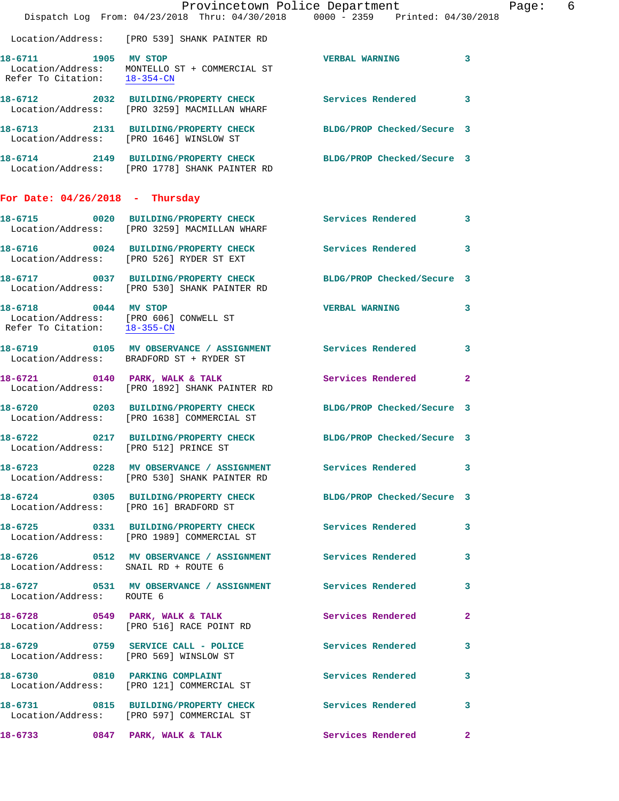|                                       |                                                                                                                  | Provincetown Police Department | 6<br>Page:   |
|---------------------------------------|------------------------------------------------------------------------------------------------------------------|--------------------------------|--------------|
|                                       | Dispatch Log From: 04/23/2018 Thru: 04/30/2018 0000 - 2359 Printed: 04/30/2018                                   |                                |              |
|                                       | Location/Address: [PRO 539] SHANK PAINTER RD                                                                     |                                |              |
| 18-6711 1905 MV STOP                  | Location/Address: MONTELLO ST + COMMERCIAL ST<br>Refer To Citation: $\frac{18-354-CN}{28}$                       | VERBAL WARNING 3               |              |
|                                       | 18-6712 2032 BUILDING/PROPERTY CHECK Services Rendered 3<br>Location/Address: [PRO 3259] MACMILLAN WHARF         |                                |              |
|                                       | 18-6713 2131 BUILDING/PROPERTY CHECK BLDG/PROP Checked/Secure 3<br>Location/Address: [PRO 1646] WINSLOW ST       |                                |              |
|                                       | 18-6714 2149 BUILDING/PROPERTY CHECK BLDG/PROP Checked/Secure 3<br>Location/Address: [PRO 1778] SHANK PAINTER RD |                                |              |
| For Date: $04/26/2018$ - Thursday     |                                                                                                                  |                                |              |
|                                       | 18-6715 0020 BUILDING/PROPERTY CHECK Services Rendered 3<br>Location/Address: [PRO 3259] MACMILLAN WHARF         |                                |              |
|                                       | 18-6716 0024 BUILDING/PROPERTY CHECK Services Rendered 3<br>Location/Address: [PRO 526] RYDER ST EXT             |                                |              |
|                                       | 18-6717 0037 BUILDING/PROPERTY CHECK BLDG/PROP Checked/Secure 3<br>Location/Address: [PRO 530] SHANK PAINTER RD  |                                |              |
| 18-6718 0044 MV STOP                  | Location/Address: [PRO 606] CONWELL ST<br>Refer To Citation: $\frac{18-355-CN}{18-355-CN}$                       | <b>VERBAL WARNING</b>          | 3            |
|                                       | 18-6719 0105 MV OBSERVANCE / ASSIGNMENT Services Rendered 3<br>Location/Address: BRADFORD ST + RYDER ST          |                                |              |
|                                       | 18-6721 0140 PARK, WALK & TALK<br>Location/Address: [PRO 1892] SHANK PAINTER RD                                  | Services Rendered              | $\mathbf{2}$ |
|                                       | 18-6720 0203 BUILDING/PROPERTY CHECK BLDG/PROP Checked/Secure 3<br>Location/Address: [PRO 1638] COMMERCIAL ST    |                                |              |
| Location/Address: [PRO 512] PRINCE ST | 18-6722 0217 BUILDING/PROPERTY CHECK BLDG/PROP Checked/Secure 3                                                  |                                |              |
|                                       | 18-6723 		 0228 MV OBSERVANCE / ASSIGNMENT Services Rendered 3<br>Location/Address: [PRO 530] SHANK PAINTER RD   |                                |              |
|                                       | 18-6724 0305 BUILDING/PROPERTY CHECK BLDG/PROP Checked/Secure 3<br>Location/Address: [PRO 16] BRADFORD ST        |                                |              |
|                                       | 18-6725 0331 BUILDING/PROPERTY CHECK Services Rendered 3<br>Location/Address: [PRO 1989] COMMERCIAL ST           |                                |              |
| Location/Address: SNAIL RD + ROUTE 6  | 18-6726 0512 MV OBSERVANCE / ASSIGNMENT Services Rendered 3                                                      |                                |              |
| Location/Address: ROUTE 6             | 18-6727 0531 MV OBSERVANCE / ASSIGNMENT Services Rendered 3                                                      |                                |              |
|                                       | 18-6728 0549 PARK, WALK & TALK 2008 Services Rendered<br>Location/Address: [PRO 516] RACE POINT RD               |                                | $\mathbf{2}$ |
|                                       | 18-6729 0759 SERVICE CALL - POLICE Services Rendered 3<br>Location/Address: [PRO 569] WINSLOW ST                 |                                |              |
|                                       | 18-6730 0810 PARKING COMPLAINT<br>Location/Address: [PRO 121] COMMERCIAL ST                                      | Services Rendered              | 3            |
|                                       | 18-6731 0815 BUILDING/PROPERTY CHECK Services Rendered 3<br>Location/Address: [PRO 597] COMMERCIAL ST            |                                |              |
|                                       | 18-6733 0847 PARK, WALK & TALK 6 Services Rendered 2                                                             |                                |              |
|                                       |                                                                                                                  |                                |              |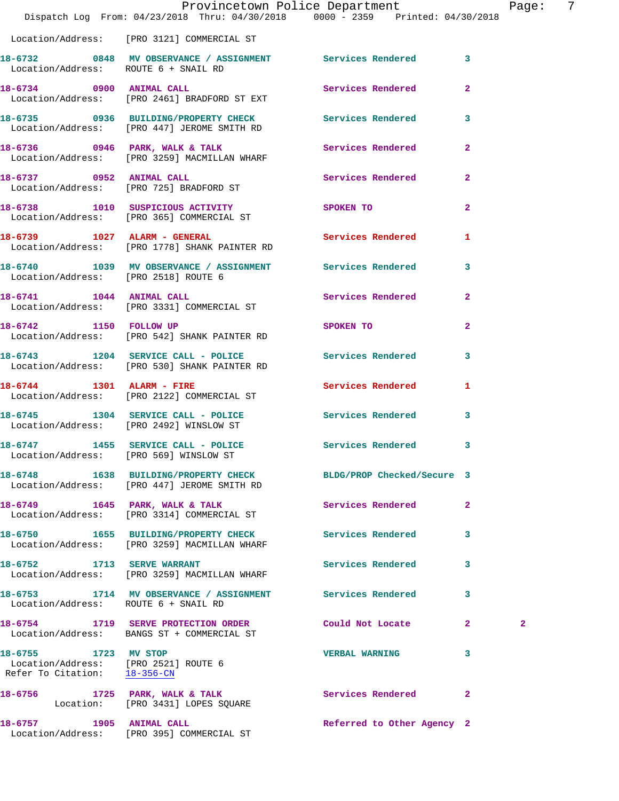|                                                                                              | Dispatch Log From: 04/23/2018 Thru: 04/30/2018 0000 - 2359 Printed: 04/30/2018                                 | Provincetown Police Department | - 7<br>Page: |
|----------------------------------------------------------------------------------------------|----------------------------------------------------------------------------------------------------------------|--------------------------------|--------------|
|                                                                                              | Location/Address: [PRO 3121] COMMERCIAL ST                                                                     |                                |              |
| Location/Address: ROUTE 6 + SNAIL RD                                                         | 18-6732 0848 MV OBSERVANCE / ASSIGNMENT Services Rendered 3                                                    |                                |              |
|                                                                                              | 18-6734 0900 ANIMAL CALL<br>Location/Address: [PRO 2461] BRADFORD ST EXT                                       | Services Rendered              | $\mathbf{2}$ |
|                                                                                              | 18-6735 0936 BUILDING/PROPERTY CHECK Services Rendered 3<br>Location/Address: [PRO 447] JEROME SMITH RD        |                                |              |
|                                                                                              | 18-6736 0946 PARK, WALK & TALK<br>Location/Address: [PRO 3259] MACMILLAN WHARF                                 | Services Rendered              | $\mathbf{2}$ |
|                                                                                              | 18-6737 0952 ANIMAL CALL<br>Location/Address: [PRO 725] BRADFORD ST                                            | Services Rendered 2            |              |
|                                                                                              | 18-6738 1010 SUSPICIOUS ACTIVITY<br>Location/Address: [PRO 365] COMMERCIAL ST                                  | SPOKEN TO                      | $\mathbf{2}$ |
|                                                                                              | 18-6739 1027 ALARM - GENERAL Services Rendered 1<br>Location/Address: [PRO 1778] SHANK PAINTER RD              |                                |              |
| Location/Address: [PRO 2518] ROUTE 6                                                         | 18-6740 1039 MV OBSERVANCE / ASSIGNMENT Services Rendered                                                      |                                | $\mathbf{3}$ |
| 18-6741 1044 ANIMAL CALL                                                                     | Location/Address: [PRO 3331] COMMERCIAL ST                                                                     | Services Rendered              | $\mathbf{2}$ |
|                                                                                              | 18-6742 1150 FOLLOW UP<br>Location/Address: [PRO 542] SHANK PAINTER RD                                         | SPOKEN TO                      | $\mathbf{2}$ |
|                                                                                              | 18-6743 1204 SERVICE CALL - POLICE 3 Services Rendered<br>Location/Address: [PRO 530] SHANK PAINTER RD         |                                | 3            |
|                                                                                              | 18-6744 1301 ALARM - FIRE<br>Location/Address: [PRO 2122] COMMERCIAL ST                                        | Services Rendered 1            |              |
|                                                                                              | 18-6745 1304 SERVICE CALL - POLICE<br>Location/Address: [PRO 2492] WINSLOW ST                                  | Services Rendered              | 3            |
|                                                                                              | 18-6747 1455 SERVICE CALL - POLICE 3 Services Rendered 3<br>Location/Address: [PRO 569] WINSLOW ST             |                                |              |
|                                                                                              | 18-6748 1638 BUILDING/PROPERTY CHECK BLDG/PROP Checked/Secure 3<br>Location/Address: [PRO 447] JEROME SMITH RD |                                |              |
|                                                                                              | 18-6749 1645 PARK, WALK & TALK<br>Location/Address: [PRO 3314] COMMERCIAL ST                                   | Services Rendered              | $\mathbf{2}$ |
|                                                                                              | 18-6750 1655 BUILDING/PROPERTY CHECK Services Rendered 3<br>Location/Address: [PRO 3259] MACMILLAN WHARF       |                                |              |
|                                                                                              | 18-6752 1713 SERVE WARRANT<br>Location/Address: [PRO 3259] MACMILLAN WHARF                                     | Services Rendered              | 3            |
| Location/Address: ROUTE 6 + SNAIL RD                                                         | 18-6753 1714 MV OBSERVANCE / ASSIGNMENT Services Rendered 3                                                    |                                |              |
|                                                                                              | 18-6754 1719 SERVE PROTECTION ORDER<br>Location/Address: BANGS ST + COMMERCIAL ST                              | Could Not Locate 2             | $\mathbf{2}$ |
| 18-6755 1723 MV STOP<br>Location/Address: [PRO 2521] ROUTE 6<br>Refer To Citation: 18-356-CN |                                                                                                                | <b>VERBAL WARNING</b>          | 3            |
|                                                                                              | 18-6756 1725 PARK, WALK & TALK<br>Location: [PRO 3431] LOPES SQUARE                                            | Services Rendered 2            |              |
| 18-6757 1905 ANIMAL CALL                                                                     |                                                                                                                | Referred to Other Agency 2     |              |

Location/Address: [PRO 395] COMMERCIAL ST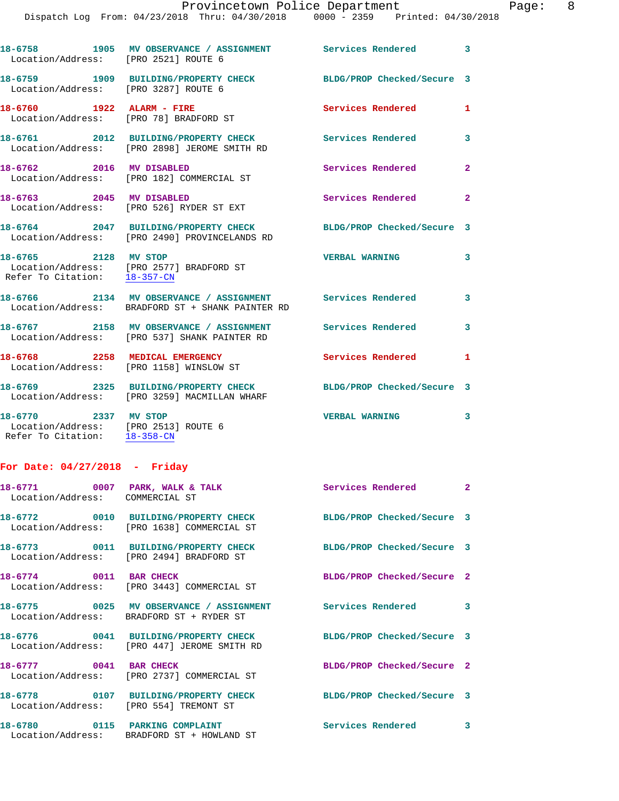| Location/Address: [PRO 2521] ROUTE 6                                               | 18-6758 1905 MV OBSERVANCE / ASSIGNMENT Services Rendered 3                                                     |                            |                |
|------------------------------------------------------------------------------------|-----------------------------------------------------------------------------------------------------------------|----------------------------|----------------|
| Location/Address: [PRO 3287] ROUTE 6                                               | 18-6759 1909 BUILDING/PROPERTY CHECK                                                                            | BLDG/PROP Checked/Secure 3 |                |
| 18-6760 1922 ALARM - FIRE<br>Location/Address: [PRO 78] BRADFORD ST                |                                                                                                                 | <b>Services Rendered</b>   | $\mathbf{1}$   |
|                                                                                    | 18-6761 2012 BUILDING/PROPERTY CHECK<br>Location/Address: [PRO 2898] JEROME SMITH RD                            | <b>Services Rendered</b>   | 3              |
| 18-6762 2016 MV DISABLED                                                           | Location/Address: [PRO 182] COMMERCIAL ST                                                                       | Services Rendered          | $\overline{2}$ |
| 18-6763 2045 MV DISABLED                                                           | Location/Address: [PRO 526] RYDER ST EXT                                                                        | Services Rendered          | $\overline{2}$ |
|                                                                                    | 18-6764 2047 BUILDING/PROPERTY CHECK<br>Location/Address: [PRO 2490] PROVINCELANDS RD                           | BLDG/PROP Checked/Secure 3 |                |
| 18-6765 2128 MV STOP<br>Refer To Citation: 18-357-CN                               | Location/Address: [PRO 2577] BRADFORD ST                                                                        | <b>VERBAL WARNING</b>      | 3              |
|                                                                                    | 18-6766 2134 MV OBSERVANCE / ASSIGNMENT<br>Location/Address: BRADFORD ST + SHANK PAINTER RD                     | <b>Services Rendered</b>   | 3              |
|                                                                                    | 18-6767 2158 MV OBSERVANCE / ASSIGNMENT<br>Location/Address: [PRO 537] SHANK PAINTER RD                         | Services Rendered          | 3              |
|                                                                                    | 18-6768 2258 MEDICAL EMERGENCY<br>Location/Address: [PRO 1158] WINSLOW ST                                       | <b>Services Rendered</b>   | $\mathbf{1}$   |
|                                                                                    | 18-6769 2325 BUILDING/PROPERTY CHECK BLDG/PROP Checked/Secure 3<br>Location/Address: [PRO 3259] MACMILLAN WHARF |                            |                |
| 2337 MV STOP<br>18-6770<br>$\sim$ $\sim$ $\sim$ $\sim$ $\sim$ $\sim$ $\sim$ $\sim$ |                                                                                                                 | <b>VERBAL WARNING</b>      | $\mathbf{3}$   |

 Location/Address: [PRO 2513] ROUTE 6 Refer To Citation: 18-358-CN

## **For Date: 04/27/2018 - Friday**

| Location/Address: COMMERCIAL ST | 18-6771 0007 PARK, WALK & TALK                                                                                  | <b>Services Rendered 22 Services</b> 2 |   |
|---------------------------------|-----------------------------------------------------------------------------------------------------------------|----------------------------------------|---|
|                                 | 18-6772 0010 BUILDING/PROPERTY CHECK BLDG/PROP Checked/Secure 3<br>Location/Address: [PRO 1638] COMMERCIAL ST   |                                        |   |
|                                 | 18-6773  0011 BUILDING/PROPERTY CHECK BLDG/PROP Checked/Secure 3<br>Location/Address: [PRO 2494] BRADFORD ST    |                                        |   |
|                                 | 18-6774 0011 BAR CHECK<br>Location/Address: [PRO 3443] COMMERCIAL ST                                            | BLDG/PROP Checked/Secure 2             |   |
|                                 | 18-6775 0025 MV OBSERVANCE / ASSIGNMENT Services Rendered 3<br>Location/Address: BRADFORD ST + RYDER ST         |                                        |   |
|                                 | 18-6776  0041 BUILDING/PROPERTY CHECK BLDG/PROP Checked/Secure 3<br>Location/Address: [PRO 447] JEROME SMITH RD |                                        |   |
| 18-6777 0041 BAR CHECK          | Location/Address: [PRO 2737] COMMERCIAL ST                                                                      | BLDG/PROP Checked/Secure 2             |   |
|                                 | 18-6778 0107 BUILDING/PROPERTY CHECK BLDG/PROP Checked/Secure 3<br>Location/Address: [PRO 554] TREMONT ST       |                                        |   |
|                                 | 18-6780 0115 PARKING COMPLAINT<br>Location/Address: BRADFORD ST + HOWLAND ST                                    | <b>Services Rendered</b>               | 3 |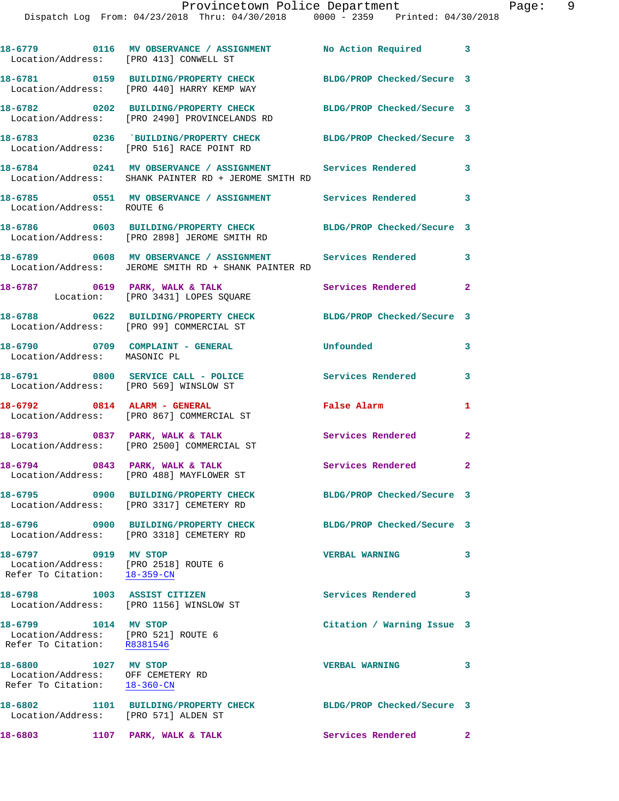|                                        | Provincetown Police Department                                                 |                            |   |
|----------------------------------------|--------------------------------------------------------------------------------|----------------------------|---|
|                                        | Dispatch Log From: 04/23/2018 Thru: 04/30/2018 0000 - 2359 Printed: 04/30/2018 |                            |   |
|                                        |                                                                                |                            |   |
|                                        |                                                                                |                            |   |
|                                        |                                                                                | No Action Required         | 3 |
| Location/Address: [PRO 413] CONWELL ST |                                                                                |                            |   |
|                                        |                                                                                |                            |   |
|                                        | 18-6781 0159 BUILDING/PROPERTY CHECK                                           | BLDG/PROP Checked/Secure 3 |   |
|                                        | Location/Address: [PRO 440] HARRY KEMP WAY                                     |                            |   |
|                                        |                                                                                | BLDG/PROP Checked/Secure 3 |   |
|                                        | Location/Address: [PRO 2490] PROVINCELANDS RD                                  |                            |   |
|                                        |                                                                                |                            |   |
|                                        |                                                                                | BLDG/PROP Checked/Secure 3 |   |
|                                        | Location/Address: [PRO 516] RACE POINT RD                                      |                            |   |
|                                        |                                                                                |                            |   |
| 18-6784                                | 0241 MV OBSERVANCE / ASSIGNMENT Services Rendered                              |                            | 3 |
|                                        | Location/Address: SHANK PAINTER RD + JEROME SMITH RD                           |                            |   |

18-6785 **0551 MV OBSERVANCE / ASSIGNMENT** Services Rendered 3 Location/Address: ROUTE 6 **18-6786 0603 BUILDING/PROPERTY CHECK BLDG/PROP Checked/Secure 3**  Location/Address: [PRO 2898] JEROME SMITH RD

**18-6789 0608 MV OBSERVANCE / ASSIGNMENT Services Rendered 3**  Location/Address: JEROME SMITH RD + SHANK PAINTER RD

18-6787 0619 PARK, WALK & TALK **Services Rendered** 2 Location: [PRO 3431] LOPES SQUARE

**18-6788 0622 BUILDING/PROPERTY CHECK BLDG/PROP Checked/Secure 3**  Location/Address: [PRO 99] COMMERCIAL ST

**18-6790 0709 COMPLAINT - GENERAL Unfounded 3**  Location/Address: MASONIC PL

**18-6791 0800 SERVICE CALL - POLICE Services Rendered 3**  Location/Address: [PRO 569] WINSLOW ST

**18-6792 0814 ALARM - GENERAL False Alarm 1**  Location/Address: [PRO 867] COMMERCIAL ST

**18-6793 0837 PARK, WALK & TALK Services Rendered 2**  Location/Address: [PRO 2500] COMMERCIAL ST

18-6794 0843 PARK, WALK & TALK **Services Rendered** 2 Location/Address: [PRO 488] MAYFLOWER ST

**18-6795 0900 BUILDING/PROPERTY CHECK BLDG/PROP Checked/Secure 3**  Location/Address: [PRO 3317] CEMETERY RD

**18-6796 0900 BUILDING/PROPERTY CHECK BLDG/PROP Checked/Secure 3**  Location/Address: [PRO 3318] CEMETERY RD

**18-6797 0919 MV STOP VERBAL WARNING 3**  Location/Address: [PRO 2518] ROUTE 6<br>Refer To Citation: 18-359-CN Refer To Citation:

**18-6798 1003 ASSIST CITIZEN Services Rendered 3**  Location/Address: [PRO 1156] WINSLOW ST

 Location/Address: [PRO 521] ROUTE 6 Refer To Citation: R8381546

**18-6800 1027 MV STOP VERBAL WARNING 3**  Location/Address: OFF CEMETERY RD Refer To Citation: 18-360-CN

Location/Address: [PRO 571] ALDEN ST

**18-6799 1014 MV STOP Citation / Warning Issue 3** 

**18-6802 1101 BUILDING/PROPERTY CHECK BLDG/PROP Checked/Secure 3** 

18-6803 1107 PARK, WALK & TALK **Services Rendered** 2

Page: 9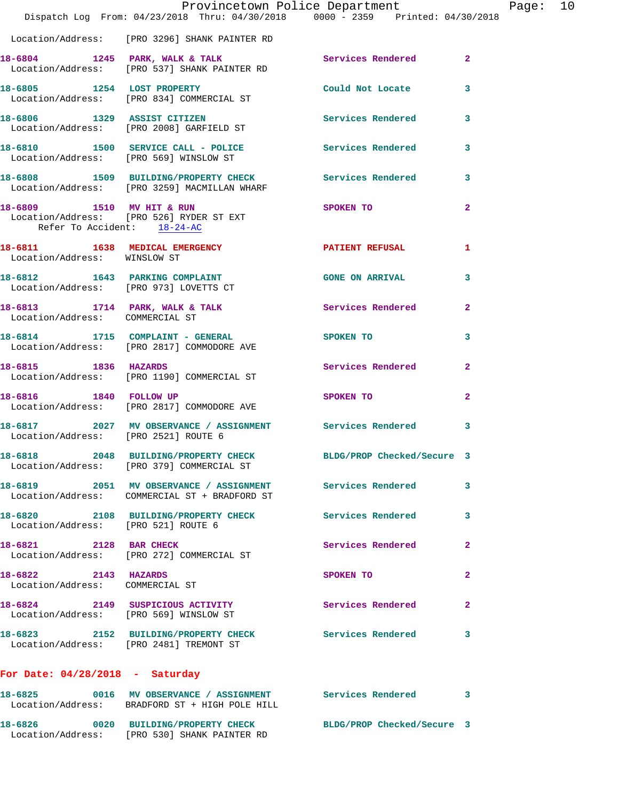|                                                                                                      |  | Provincetown Police Department                                                 |                         |
|------------------------------------------------------------------------------------------------------|--|--------------------------------------------------------------------------------|-------------------------|
|                                                                                                      |  | Dispatch Log From: 04/23/2018 Thru: 04/30/2018 0000 - 2359 Printed: 04/30/2018 |                         |
| Location/Address: [PRO 3296] SHANK PAINTER RD                                                        |  |                                                                                |                         |
| 18-6804 1245 PARK, WALK & TALK<br>Location/Address: [PRO 537] SHANK PAINTER RD                       |  | Services Rendered                                                              | $\overline{a}$          |
| 18-6805 1254 LOST PROPERTY<br>Location/Address: [PRO 834] COMMERCIAL ST                              |  | Could Not Locate                                                               | 3                       |
| 18-6806 1329 ASSIST CITIZEN<br>Location/Address: [PRO 2008] GARFIELD ST                              |  | <b>Services Rendered</b>                                                       | 3                       |
| Location/Address: [PRO 569] WINSLOW ST                                                               |  | 18-6810 1500 SERVICE CALL - POLICE 3 Services Rendered                         | 3                       |
| Location/Address: [PRO 3259] MACMILLAN WHARF                                                         |  | 18-6808 1509 BUILDING/PROPERTY CHECK Services Rendered                         | 3                       |
| 18-6809 1510 MV HIT & RUN<br>Location/Address: [PRO 526] RYDER ST EXT<br>Refer To Accident: 18-24-AC |  | SPOKEN TO                                                                      | $\overline{\mathbf{2}}$ |
| 18-6811 1638 MEDICAL EMERGENCY<br>Location/Address: WINSLOW ST                                       |  | <b>PATIENT REFUSAL</b>                                                         | 1                       |
| 18-6812 1643 PARKING COMPLAINT<br>Location/Address: [PRO 973] LOVETTS CT                             |  | <b>GONE ON ARRIVAL</b>                                                         | 3                       |
| Location/Address: COMMERCIAL ST                                                                      |  | 18-6813 1714 PARK, WALK & TALK 18 Services Rendered                            | $\overline{\mathbf{2}}$ |
| 18-6814 1715 COMPLAINT - GENERAL<br>Location/Address: [PRO 2817] COMMODORE AVE                       |  | SPOKEN TO                                                                      | 3                       |
| 18-6815 1836 HAZARDS<br>Location/Address: [PRO 1190] COMMERCIAL ST                                   |  | Services Rendered                                                              | $\mathbf{2}$            |
| 18-6816 1840 FOLLOW UP<br>Location/Address: [PRO 2817] COMMODORE AVE                                 |  | SPOKEN TO                                                                      | $\overline{\mathbf{2}}$ |
| Location/Address: [PRO 2521] ROUTE 6                                                                 |  | 18-6817 2027 MV OBSERVANCE / ASSIGNMENT Services Rendered                      | 3                       |
| 18-6818 2048 BUILDING/PROPERTY CHECK<br>Location/Address: [PRO 379] COMMERCIAL ST                    |  | BLDG/PROP Checked/Secure 3                                                     |                         |
| 18-6819 2051 MV OBSERVANCE / ASSIGNMENT<br>Location/Address: COMMERCIAL ST + BRADFORD ST             |  | <b>Services Rendered</b>                                                       | 3                       |
| 18-6820 2108 BUILDING/PROPERTY CHECK<br>Location/Address: [PRO 521] ROUTE 6                          |  | Services Rendered                                                              | 3                       |
| 18-6821 2128 BAR CHECK<br>Location/Address: [PRO 272] COMMERCIAL ST                                  |  | Services Rendered                                                              | $\overline{\mathbf{2}}$ |
| 18-6822 2143 HAZARDS<br>Location/Address: COMMERCIAL ST                                              |  | SPOKEN TO                                                                      | $\overline{\mathbf{2}}$ |
| 18-6824 2149 SUSPICIOUS ACTIVITY<br>Location/Address: [PRO 569] WINSLOW ST                           |  | Services Rendered                                                              | $\overline{\mathbf{2}}$ |
| 18-6823 2152 BUILDING/PROPERTY CHECK<br>Location/Address: [PRO 2481] TREMONT ST                      |  | <b>Services Rendered</b>                                                       | 3                       |
| For Date: $04/28/2018$ - Saturday                                                                    |  |                                                                                |                         |
|                                                                                                      |  | 18-6825 0016 MV OBSERVANCE / ASSIGNMENT Services Rendered 3                    |                         |

**18-6826 0020 BUILDING/PROPERTY CHECK BLDG/PROP Checked/Secure 3**  Location/Address: [PRO 530] SHANK PAINTER RD

Location/Address: BRADFORD ST + HIGH POLE HILL

Page: 10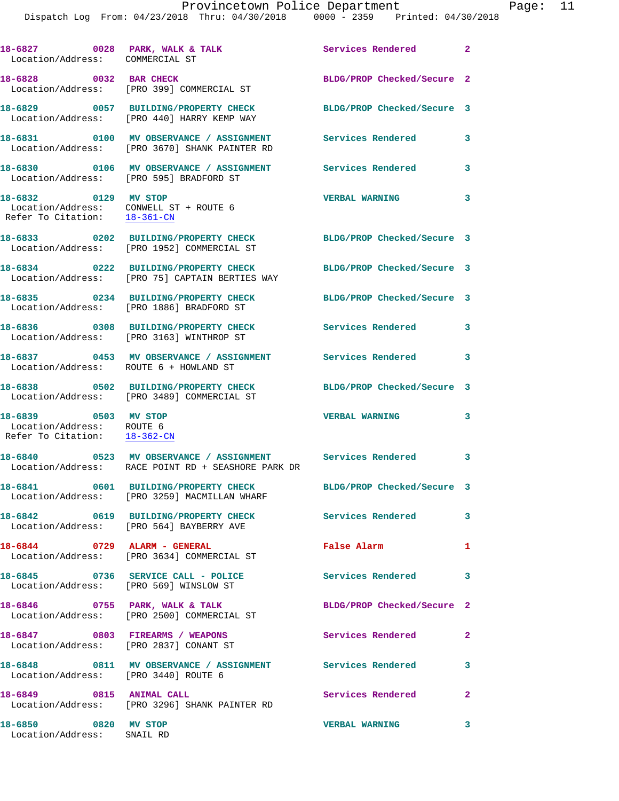|                                                                                                | Dispatch Log From: 04/23/2018 Thru: 04/30/2018 0000 - 2359 Printed: 04/30/2018                                  |                            |                |
|------------------------------------------------------------------------------------------------|-----------------------------------------------------------------------------------------------------------------|----------------------------|----------------|
| 18-6827 0028 PARK, WALK & TALK<br>Location/Address: COMMERCIAL ST                              |                                                                                                                 | Services Rendered          | $\overline{2}$ |
|                                                                                                | 18-6828 0032 BAR CHECK<br>Location/Address: [PRO 399] COMMERCIAL ST                                             | BLDG/PROP Checked/Secure 2 |                |
|                                                                                                | 18-6829 0057 BUILDING/PROPERTY CHECK<br>Location/Address: [PRO 440] HARRY KEMP WAY                              | BLDG/PROP Checked/Secure 3 |                |
|                                                                                                | 18-6831 0100 MV OBSERVANCE / ASSIGNMENT<br>Location/Address: [PRO 3670] SHANK PAINTER RD                        | <b>Services Rendered</b>   | 3              |
| Location/Address: [PRO 595] BRADFORD ST                                                        | 18-6830 0106 MV OBSERVANCE / ASSIGNMENT Services Rendered                                                       |                            | 3              |
| 18-6832 0129 MV STOP<br>Location/Address: CONWELL ST + ROUTE 6<br>Refer To Citation: 18-361-CN |                                                                                                                 | <b>VERBAL WARNING</b>      | 3              |
|                                                                                                | 18-6833 0202 BUILDING/PROPERTY CHECK<br>Location/Address: [PRO 1952] COMMERCIAL ST                              | BLDG/PROP Checked/Secure 3 |                |
|                                                                                                | 18-6834 0222 BUILDING/PROPERTY CHECK<br>Location/Address: [PRO 75] CAPTAIN BERTIES WAY                          | BLDG/PROP Checked/Secure 3 |                |
|                                                                                                | 18-6835 0234 BUILDING/PROPERTY CHECK<br>Location/Address: [PRO 1886] BRADFORD ST                                | BLDG/PROP Checked/Secure 3 |                |
|                                                                                                | 18-6836 0308 BUILDING/PROPERTY CHECK<br>Location/Address: [PRO 3163] WINTHROP ST                                | Services Rendered          | 3              |
| Location/Address: ROUTE 6 + HOWLAND ST                                                         | 18-6837 0453 MV OBSERVANCE / ASSIGNMENT                                                                         | <b>Services Rendered</b>   | 3              |
|                                                                                                | 18-6838 0502 BUILDING/PROPERTY CHECK<br>Location/Address: [PRO 3489] COMMERCIAL ST                              | BLDG/PROP Checked/Secure 3 |                |
| 18-6839 0503 MV STOP<br>Location/Address: ROUTE 6<br>Refer To Citation: 18-362-CN              |                                                                                                                 | <b>VERBAL WARNING</b>      | 3              |
| 18-6840                                                                                        | 0523 MV OBSERVANCE / ASSIGNMENT Services Rendered<br>Location/Address: RACE POINT RD + SEASHORE PARK DR         |                            | 3              |
|                                                                                                | 18-6841 0601 BUILDING/PROPERTY CHECK BLDG/PROP Checked/Secure 3<br>Location/Address: [PRO 3259] MACMILLAN WHARF |                            |                |
|                                                                                                | 18-6842 0619 BUILDING/PROPERTY CHECK<br>Location/Address: [PRO 564] BAYBERRY AVE                                | Services Rendered          | 3              |
|                                                                                                | 18-6844 0729 ALARM - GENERAL<br>Location/Address: [PRO 3634] COMMERCIAL ST                                      | False Alarm                | 1              |
|                                                                                                | 18-6845 0736 SERVICE CALL - POLICE<br>Location/Address: [PRO 569] WINSLOW ST                                    | Services Rendered          | 3              |
|                                                                                                | 18-6846 0755 PARK, WALK & TALK<br>Location/Address: [PRO 2500] COMMERCIAL ST                                    | BLDG/PROP Checked/Secure 2 |                |
|                                                                                                | 18-6847 0803 FIREARMS / WEAPONS<br>Location/Address: [PRO 2837] CONANT ST                                       | Services Rendered          | $\overline{a}$ |
| Location/Address: [PRO 3440] ROUTE 6                                                           | 18-6848 0811 MV OBSERVANCE / ASSIGNMENT Services Rendered                                                       |                            | 3              |
| 18-6849 0815 ANIMAL CALL                                                                       | Location/Address: [PRO 3296] SHANK PAINTER RD                                                                   | Services Rendered          | $\mathbf{2}$   |
| 18-6850 0820 MV STOP<br>Location/Address: SNAIL RD                                             |                                                                                                                 | <b>VERBAL WARNING</b>      | 3              |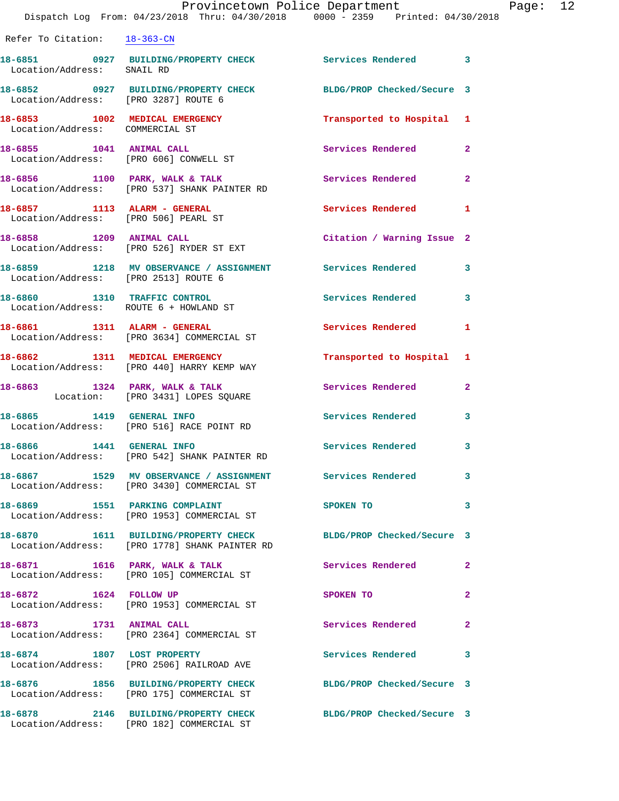|                                      | Provincetown Police Department<br>Dispatch Log From: 04/23/2018 Thru: 04/30/2018 0000 - 2359 Printed: 04/30/2018 |                            |              | Page: 12 |
|--------------------------------------|------------------------------------------------------------------------------------------------------------------|----------------------------|--------------|----------|
| Refer To Citation: 18-363-CN         |                                                                                                                  |                            |              |          |
| Location/Address: SNAIL RD           | 18-6851 0927 BUILDING/PROPERTY CHECK Services Rendered 3                                                         |                            |              |          |
| Location/Address: [PRO 3287] ROUTE 6 | 18-6852 0927 BUILDING/PROPERTY CHECK BLDG/PROP Checked/Secure 3                                                  |                            |              |          |
| Location/Address: COMMERCIAL ST      | 18-6853 1002 MEDICAL EMERGENCY                                                                                   | Transported to Hospital 1  |              |          |
|                                      | 18-6855 1041 ANIMAL CALL<br>Location/Address: [PRO 606] CONWELL ST                                               | Services Rendered 2        |              |          |
|                                      | 18-6856 1100 PARK, WALK & TALK<br>Location/Address: [PRO 537] SHANK PAINTER RD                                   | Services Rendered          | $\mathbf{2}$ |          |
|                                      | 18-6857 1113 ALARM - GENERAL<br>Location/Address: [PRO 506] PEARL ST                                             | Services Rendered 1        |              |          |
|                                      |                                                                                                                  | Citation / Warning Issue 2 |              |          |
| Location/Address: [PRO 2513] ROUTE 6 | 18-6859 1218 MV OBSERVANCE / ASSIGNMENT Services Rendered 3                                                      |                            |              |          |
|                                      | 18-6860 1310 TRAFFIC CONTROL<br>Location/Address: ROUTE 6 + HOWLAND ST                                           | Services Rendered 3        |              |          |
|                                      | 18-6861 1311 ALARM - GENERAL<br>Location/Address: [PRO 3634] COMMERCIAL ST                                       | Services Rendered          | -1           |          |
|                                      | 18-6862 1311 MEDICAL EMERGENCY<br>Location/Address: [PRO 440] HARRY KEMP WAY                                     | Transported to Hospital 1  |              |          |
|                                      | 18-6863 1324 PARK, WALK & TALK<br>Location: [PRO 3431] LOPES SQUARE                                              | Services Rendered          | $\mathbf{2}$ |          |
|                                      | 18-6865 1419 GENERAL INFO<br>Location/Address: [PRO 516] RACE POINT RD                                           | Services Rendered 3        |              |          |
| <b>18-6866  1441 GENERAL INFO</b>    | Location/Address: [PRO 542] SHANK PAINTER RD                                                                     | Services Rendered          | 3            |          |
|                                      | 18-6867 1529 MV OBSERVANCE / ASSIGNMENT Services Rendered<br>Location/Address: [PRO 3430] COMMERCIAL ST          |                            | 3            |          |
|                                      | 18-6869 1551 PARKING COMPLAINT<br>Location/Address: [PRO 1953] COMMERCIAL ST                                     | SPOKEN TO                  | 3            |          |
|                                      | 18-6870 1611 BUILDING/PROPERTY CHECK BLDG/PROP Checked/Secure 3<br>Location/Address: [PRO 1778] SHANK PAINTER RD |                            |              |          |
|                                      | 18-6871 1616 PARK, WALK & TALK<br>Location/Address: [PRO 105] COMMERCIAL ST                                      | <b>Services Rendered</b>   | 2            |          |
| 18-6872 1624 FOLLOW UP               | Location/Address: [PRO 1953] COMMERCIAL ST                                                                       | SPOKEN TO                  | $\mathbf{2}$ |          |
| 18-6873 1731 ANIMAL CALL             | Location/Address: [PRO 2364] COMMERCIAL ST                                                                       | Services Rendered          | 2            |          |
| 18-6874 1807 LOST PROPERTY           | Location/Address: [PRO 2506] RAILROAD AVE                                                                        | Services Rendered 3        |              |          |
|                                      | 18-6876 1856 BUILDING/PROPERTY CHECK BLDG/PROP Checked/Secure 3<br>Location/Address: [PRO 175] COMMERCIAL ST     |                            |              |          |
| 18-6878                              | 2146 BUILDING/PROPERTY CHECK                                                                                     | BLDG/PROP Checked/Secure 3 |              |          |

Location/Address: [PRO 182] COMMERCIAL ST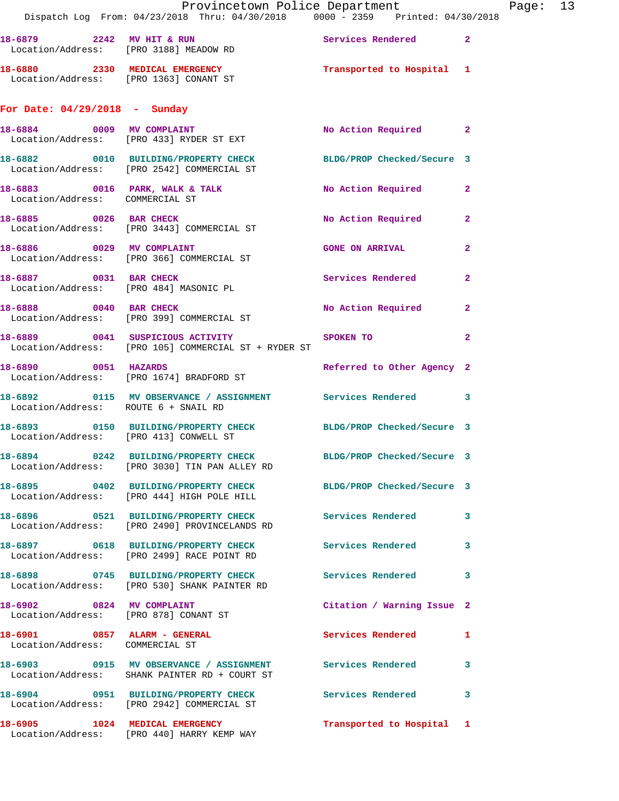|                                                                 | Provincetown Police Department<br>Dispatch Log From: 04/23/2018 Thru: 04/30/2018 0000 - 2359 Printed: 04/30/2018 |                            |                |
|-----------------------------------------------------------------|------------------------------------------------------------------------------------------------------------------|----------------------------|----------------|
|                                                                 | 18-6879 2242 MV HIT & RUN Services Rendered 2<br>Location/Address: [PRO 3188] MEADOW RD                          |                            |                |
|                                                                 | 18-6880 2330 MEDICAL EMERGENCY<br>Location/Address: [PRO 1363] CONANT ST                                         | Transported to Hospital 1  |                |
| For Date: $04/29/2018$ - Sunday                                 |                                                                                                                  |                            |                |
|                                                                 | 18-6884 0009 MV COMPLAINT<br>Location/Address: [PRO 433] RYDER ST EXT                                            | No Action Required 2       |                |
|                                                                 | 18-6882 0010 BUILDING/PROPERTY CHECK BLDG/PROP Checked/Secure 3<br>Location/Address: [PRO 2542] COMMERCIAL ST    |                            |                |
| Location/Address: COMMERCIAL ST                                 | 18-6883 0016 PARK, WALK & TALK NO Action Required                                                                |                            | $\mathbf{2}$   |
|                                                                 | 18-6885 0026 BAR CHECK<br>Location/Address: [PRO 3443] COMMERCIAL ST                                             | No Action Required         | $\mathbf{2}$   |
| 18-6886 0029 MV COMPLAINT                                       | Location/Address: [PRO 366] COMMERCIAL ST                                                                        | <b>GONE ON ARRIVAL</b>     | $\mathbf{2}$   |
| 18-6887 0031 BAR CHECK                                          | Location/Address: [PRO 484] MASONIC PL                                                                           | Services Rendered          | $\overline{2}$ |
|                                                                 | 18-6888 0040 BAR CHECK<br>Location/Address: [PRO 399] COMMERCIAL ST                                              | No Action Required         | $\mathbf{2}$   |
|                                                                 | 18-6889 0041 SUSPICIOUS ACTIVITY SPOKEN TO<br>Location/Address: [PRO 105] COMMERCIAL ST + RYDER ST               |                            | $\mathbf{2}$   |
| 18-6890 0051 HAZARDS                                            | Location/Address: [PRO 1674] BRADFORD ST                                                                         | Referred to Other Agency 2 |                |
| Location/Address: ROUTE 6 + SNAIL RD                            | 18-6892 0115 MV OBSERVANCE / ASSIGNMENT Services Rendered 3                                                      |                            |                |
| Location/Address: [PRO 413] CONWELL ST                          | 18-6893 0150 BUILDING/PROPERTY CHECK BLDG/PROP Checked/Secure 3                                                  |                            |                |
|                                                                 | 18-6894 0242 BUILDING/PROPERTY CHECK<br>Location/Address: [PRO 3030] TIN PAN ALLEY RD                            | BLDG/PROP Checked/Secure 3 |                |
|                                                                 | 18-6895 0402 BUILDING/PROPERTY CHECK BLDG/PROP Checked/Secure 3<br>Location/Address: [PRO 444] HIGH POLE HILL    |                            |                |
|                                                                 |                                                                                                                  | Services Rendered 3        |                |
|                                                                 | 18-6897 0618 BUILDING/PROPERTY CHECK<br>Location/Address: [PRO 2499] RACE POINT RD                               | <b>Services Rendered</b>   | 3              |
|                                                                 | 18-6898 0745 BUILDING/PROPERTY CHECK<br>Location/Address: [PRO 530] SHANK PAINTER RD                             | Services Rendered          | 3              |
| 18-6902 0824 MV COMPLAINT                                       | Location/Address: [PRO 878] CONANT ST                                                                            | Citation / Warning Issue 2 |                |
| 18-6901 0857 ALARM - GENERAL<br>Location/Address: COMMERCIAL ST |                                                                                                                  | Services Rendered          | $\mathbf{1}$   |
|                                                                 | 18-6903 0915 MV OBSERVANCE / ASSIGNMENT Services Rendered<br>Location/Address: SHANK PAINTER RD + COURT ST       |                            | 3              |
|                                                                 | 18-6904 0951 BUILDING/PROPERTY CHECK<br>Location/Address: [PRO 2942] COMMERCIAL ST                               | Services Rendered 3        |                |
|                                                                 | 18-6905 1024 MEDICAL EMERGENCY<br>Location/Address: [PRO 440] HARRY KEMP WAY                                     | Transported to Hospital 1  |                |

Page: 13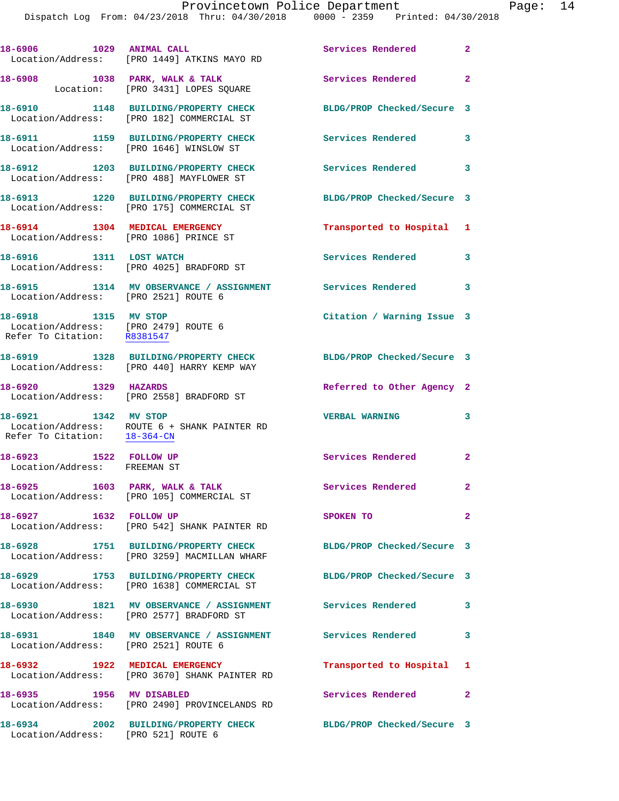| 18-6906 1029 ANIMAL CALL                                                                    | Location/Address: [PRO 1449] ATKINS MAYO RD                                          | Services Rendered 2        |                         |
|---------------------------------------------------------------------------------------------|--------------------------------------------------------------------------------------|----------------------------|-------------------------|
|                                                                                             | 18-6908 1038 PARK, WALK & TALK<br>Location: [PRO 3431] LOPES SQUARE                  | Services Rendered 2        |                         |
|                                                                                             | 18-6910 1148 BUILDING/PROPERTY CHECK<br>Location/Address: [PRO 182] COMMERCIAL ST    | BLDG/PROP Checked/Secure 3 |                         |
|                                                                                             | 18-6911 1159 BUILDING/PROPERTY CHECK<br>Location/Address: [PRO 1646] WINSLOW ST      | <b>Services Rendered</b>   | $\overline{\mathbf{3}}$ |
|                                                                                             | 18-6912 1203 BUILDING/PROPERTY CHECK<br>Location/Address: [PRO 488] MAYFLOWER ST     | Services Rendered 3        |                         |
|                                                                                             | 18-6913 1220 BUILDING/PROPERTY CHECK<br>Location/Address: [PRO 175] COMMERCIAL ST    | BLDG/PROP Checked/Secure 3 |                         |
| 18-6914 1304 MEDICAL EMERGENCY                                                              | Location/Address: [PRO 1086] PRINCE ST                                               | Transported to Hospital 1  |                         |
| 18-6916 1311 LOST WATCH                                                                     | Location/Address: [PRO 4025] BRADFORD ST                                             | Services Rendered          | 3                       |
| Location/Address: [PRO 2521] ROUTE 6                                                        | 18-6915 1314 MV OBSERVANCE / ASSIGNMENT Services Rendered 3                          |                            |                         |
| 18-6918 1315 MV STOP<br>Location/Address: [PRO 2479] ROUTE 6<br>Refer To Citation: R8381547 |                                                                                      | Citation / Warning Issue 3 |                         |
|                                                                                             | 18-6919 1328 BUILDING/PROPERTY CHECK<br>Location/Address: [PRO 440] HARRY KEMP WAY   | BLDG/PROP Checked/Secure 3 |                         |
| 18-6920 1329 HAZARDS                                                                        | Location/Address: [PRO 2558] BRADFORD ST                                             | Referred to Other Agency 2 |                         |
| 18-6921 1342 MV STOP<br>Refer To Citation: 18-364-CN                                        | Location/Address: ROUTE 6 + SHANK PAINTER RD                                         | <b>VERBAL WARNING</b>      | 3                       |
| 18-6923 1522 FOLLOW UP<br>Location/Address: FREEMAN ST                                      |                                                                                      | Services Rendered 2        |                         |
| 18-6925                                                                                     | 1603 PARK, WALK & TALK<br>Location/Address: [PRO 105] COMMERCIAL ST                  | Services Rendered          | 2                       |
|                                                                                             | 18-6927 1632 FOLLOW UP<br>Location/Address: [PRO 542] SHANK PAINTER RD               | SPOKEN TO                  | $\mathbf{2}$            |
|                                                                                             | 18-6928 1751 BUILDING/PROPERTY CHECK<br>Location/Address: [PRO 3259] MACMILLAN WHARF | BLDG/PROP Checked/Secure 3 |                         |
|                                                                                             | 18-6929 1753 BUILDING/PROPERTY CHECK<br>Location/Address: [PRO 1638] COMMERCIAL ST   | BLDG/PROP Checked/Secure 3 |                         |
|                                                                                             | 18-6930 1821 MV OBSERVANCE / ASSIGNMENT<br>Location/Address: [PRO 2577] BRADFORD ST  | <b>Services Rendered</b>   | 3                       |
| Location/Address: [PRO 2521] ROUTE 6                                                        | 18-6931 1840 MV OBSERVANCE / ASSIGNMENT Services Rendered                            |                            | 3                       |
|                                                                                             | 18-6932 1922 MEDICAL EMERGENCY<br>Location/Address: [PRO 3670] SHANK PAINTER RD      | Transported to Hospital 1  |                         |
| 18-6935 1956 MV DISABLED                                                                    | Location/Address: [PRO 2490] PROVINCELANDS RD                                        | Services Rendered          | $\mathbf{2}$            |
| Location/Address: [PRO 521] ROUTE 6                                                         | 18-6934 2002 BUILDING/PROPERTY CHECK                                                 | BLDG/PROP Checked/Secure 3 |                         |